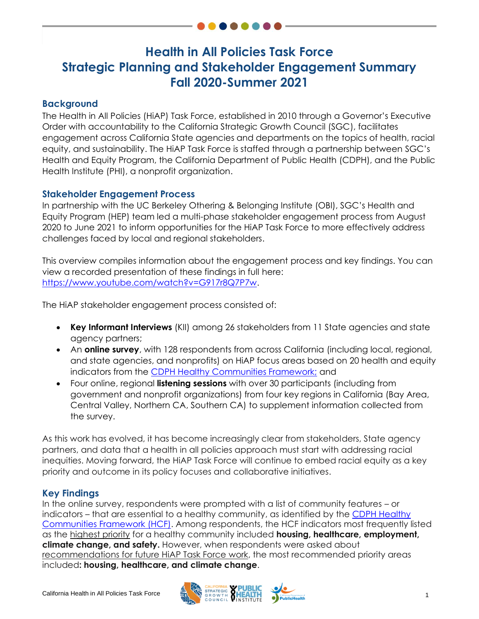# **Health in All Policies Task Force Strategic Planning and Stakeholder Engagement Summary Fall 2020-Summer 2021**

## **Background**

The Health in All Policies (HiAP) Task Force, established in 2010 through a Governor's Executive Order with accountability to the California Strategic Growth Council (SGC), facilitates engagement across California State agencies and departments on the topics of health, racial equity, and sustainability. The HiAP Task Force is staffed through a partnership between SGC's Health and Equity Program, the California Department of Public Health (CDPH), and the Public Health Institute (PHI), a nonprofit organization.

### **Stakeholder Engagement Process**

In partnership with the UC Berkeley Othering & Belonging Institute (OBI), SGC's Health and Equity Program (HEP) team led a multi-phase stakeholder engagement process from August 2020 to June 2021 to inform opportunities for the HiAP Task Force to more effectively address challenges faced by local and regional stakeholders.

This overview compiles information about the engagement process and key findings. You can view a recorded presentation of these findings in full here: <https://www.youtube.com/watch?v=G917r8Q7P7w.>

The HiAP stakeholder engagement process consisted of:

- **Key Informant Interviews** (KII) among 26 stakeholders from 11 State agencies and state agency partners;
- An **online survey**, with 128 respondents from across California (including local, regional, and state agencies, and nonprofits) on HiAP focus areas based on 20 health and equity indicators from the [CDPH Healthy Communities Framework;](https://sgc.ca.gov/programs/hiap/docs/20200922-Healthy_Communities_Framework.pdf) and
- Four online, regional **listening sessions** with over 30 participants (including from government and nonprofit organizations) from four key regions in California (Bay Area, Central Valley, Northern CA, Southern CA) to supplement information collected from the survey.

As this work has evolved, it has become increasingly clear from stakeholders, State agency partners, and data that a health in all policies approach must start with addressing racial inequities. Moving forward, the HiAP Task Force will continue to embed racial equity as a key priority and outcome in its policy focuses and collaborative initiatives.

### **Key Findings**

In the online survey, respondents were prompted with a list of community features – or indicators – that are essential to a healthy community, as identified by the [CDPH Healthy](https://sgc.ca.gov/programs/hiap/docs/20200922-Healthy_Communities_Framework.pdf)  [Communities Framework](https://sgc.ca.gov/programs/hiap/docs/20200922-Healthy_Communities_Framework.pdf) (HCF). Among respondents, the HCF indicators most frequently listed as the highest priority for a healthy community included **housing, healthcare, employment, climate change, and safety.** However, when respondents were asked about recommendations for future HiAP Task Force work, the most recommended priority areas included**: housing, healthcare, and climate change**.

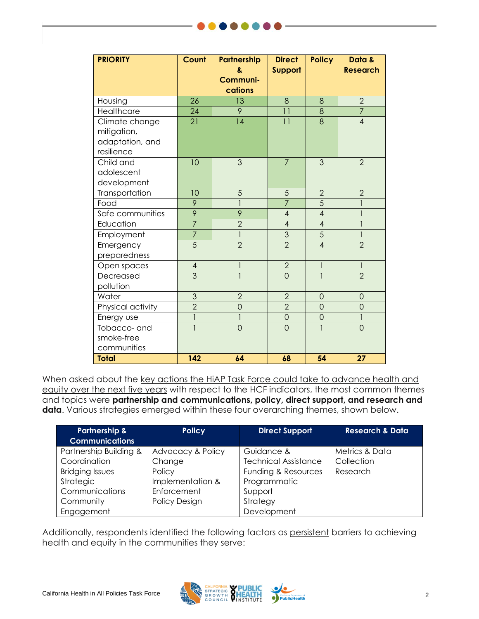| <b>PRIORITY</b>   | Count           | Partnership    | <b>Direct</b>   | <b>Policy</b>            | Data &          |
|-------------------|-----------------|----------------|-----------------|--------------------------|-----------------|
|                   |                 | 8.<br>Communi- | Support         |                          | <b>Research</b> |
|                   |                 | cations        |                 |                          |                 |
| Housing           | 26              | 13             | 8               | 8                        | $\overline{2}$  |
| <b>Healthcare</b> | $\overline{24}$ | $\overline{9}$ | $\overline{11}$ | 8                        | $\overline{7}$  |
| Climate change    | 21              | 14             | 11              | 8                        | $\overline{4}$  |
| mitigation,       |                 |                |                 |                          |                 |
| adaptation, and   |                 |                |                 |                          |                 |
| resilience        |                 |                |                 |                          |                 |
| Child and         | 10              | 3              | $\overline{7}$  | 3                        | $\overline{2}$  |
| adolescent        |                 |                |                 |                          |                 |
| development       |                 |                |                 |                          |                 |
| Transportation    | 10              | 5              | 5               | $\overline{2}$           | $\overline{2}$  |
| Food              | 9               | $\overline{1}$ | $\overline{7}$  | 5                        | $\mathbf{I}$    |
| Safe communities  | $\overline{9}$  | 9              | $\overline{4}$  | $\overline{\mathcal{A}}$ | $\mathbf{1}$    |
| Education         | $\overline{7}$  | $\overline{2}$ | $\overline{4}$  | $\overline{\mathcal{A}}$ | $\mathbf{1}$    |
| Employment        | $\overline{7}$  | $\mathbf{1}$   | $\overline{3}$  | 5                        | $\mathbf{1}$    |
| Emergency         | $\overline{5}$  | $\overline{2}$ | $\overline{2}$  | $\overline{4}$           | $\overline{2}$  |
| preparedness      |                 |                |                 |                          |                 |
| Open spaces       | $\overline{4}$  | 1              | $\overline{2}$  | $\mathbf{I}$             | 1               |
| Decreased         | $\overline{3}$  | $\mathbf{1}$   | $\overline{O}$  | $\overline{1}$           | $\overline{2}$  |
| pollution         |                 |                |                 |                          |                 |
| Water             | 3               | $\overline{2}$ | $\overline{2}$  | $\overline{0}$           | $\overline{0}$  |
| Physical activity | $\overline{2}$  | $\overline{0}$ | $\overline{2}$  | $\overline{O}$           | $\overline{O}$  |
| Energy use        | $\overline{1}$  | $\overline{1}$ | $\overline{0}$  | $\overline{O}$           | $\mathbf{1}$    |
| Tobacco- and      |                 | $\overline{0}$ | $\overline{0}$  | 1                        | $\overline{0}$  |
| smoke-free        |                 |                |                 |                          |                 |
| communities       |                 |                |                 |                          |                 |
| <b>Total</b>      | 142             | 64             | 68              | 54                       | 27              |

When asked about the key actions the HiAP Task Force could take to advance health and equity over the next five years with respect to the HCF indicators, the most common themes and topics were **partnership and communications, policy, direct support, and research and data**. Various strategies emerged within these four overarching themes, shown below.

| <b>Partnership &amp;</b><br><b>Communications</b> | <b>Policy</b>        | <b>Direct Support</b>       | <b>Research &amp; Data</b> |
|---------------------------------------------------|----------------------|-----------------------------|----------------------------|
| Partnership Building &                            | Advocacy & Policy    | Guidance &                  | Metrics & Data             |
| Coordination                                      | Change               | <b>Technical Assistance</b> | Collection                 |
| <b>Bridging Issues</b>                            | Policy               | Funding & Resources         | Research                   |
| Strategic                                         | Implementation &     | Programmatic                |                            |
| Communications                                    | Enforcement          | Support                     |                            |
| Community                                         | <b>Policy Design</b> | Strategy                    |                            |
| Engagement                                        |                      | Development                 |                            |

Additionally, respondents identified the following factors as persistent barriers to achieving health and equity in the communities they serve: